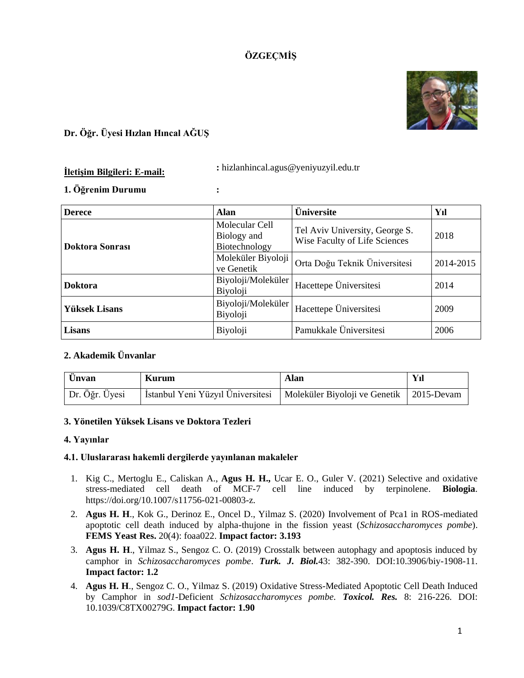# **ÖZGEÇMİŞ**



## **Dr. Öğr. Üyesi Hızlan Hıncal AĞUŞ**

# **İletişim Bilgileri: E-mail: :** hizlanhincal.agus@yeniyuzyil.edu.tr

## **1. Öğrenim Durumu :**

| <b>Derece</b>        | <b>Alan</b>                                    | <b>Üniversite</b>                                               | Yıl       |
|----------------------|------------------------------------------------|-----------------------------------------------------------------|-----------|
| Doktora Sonrası      | Molecular Cell<br>Biology and<br>Biotechnology | Tel Aviv University, George S.<br>Wise Faculty of Life Sciences | 2018      |
|                      | Moleküler Biyoloji<br>ve Genetik               | Orta Doğu Teknik Üniversitesi                                   | 2014-2015 |
| <b>Doktora</b>       | Biyoloji/Moleküler<br>Biyoloji                 | Hacettepe Üniversitesi                                          | 2014      |
| <b>Yüksek Lisans</b> | Biyoloji/Moleküler<br>Biyoloji                 | Hacettepe Üniversitesi                                          | 2009      |
| Lisans               | Biyoloji                                       | Pamukkale Üniversitesi                                          | 2006      |

## **2. Akademik Ünvanlar**

| Ünvan          | <b>Kurum</b>                      | Alan                                       |  |
|----------------|-----------------------------------|--------------------------------------------|--|
| Dr. Öğr. Üyesi | İstanbul Yeni Yüzyıl Üniversitesi | Moleküler Biyoloji ve Genetik   2015-Devam |  |

### **3. Yönetilen Yüksek Lisans ve Doktora Tezleri**

### **4. Yayınlar**

### **4.1. Uluslararası hakemli dergilerde yayınlanan makaleler**

- 1. Kig C., Mertoglu E., Caliskan A., **Agus H. H.,** Ucar E. O., Guler V. (2021) Selective and oxidative stress-mediated cell death of MCF-7 cell line induced by terpinolene. **Biologia**. [https://doi.org/10.1007/s11756-021-00803-z.](https://doi.org/10.1007/s11756-021-00803-z)
- 2. **Agus H. H**., Kok G., Derinoz E., Oncel D., Yilmaz S. (2020) Involvement of Pca1 in ROS-mediated apoptotic cell death induced by alpha-thujone in the fission yeast (*Schizosaccharomyces pombe*). **FEMS Yeast Res.** 20(4): foaa022. **Impact factor: 3.193**
- 3. **Agus H. H**., Yilmaz S., Sengoz C. O. (2019) Crosstalk between autophagy and apoptosis induced by camphor in *Schizosaccharomyces pombe*. *Turk. J. Biol.*43: 382-390. DOI:10.3906/biy-1908-11. **Impact factor: 1.2**
- 4. **Agus H. H**., Sengoz C. O., Yilmaz S. (2019) Oxidative Stress-Mediated Apoptotic Cell Death Induced by Camphor in *sod1*-Deficient *Schizosaccharomyces pombe. Toxicol. Res.* 8: 216-226. DOI: 10.1039/C8TX00279G. **Impact factor: 1.90**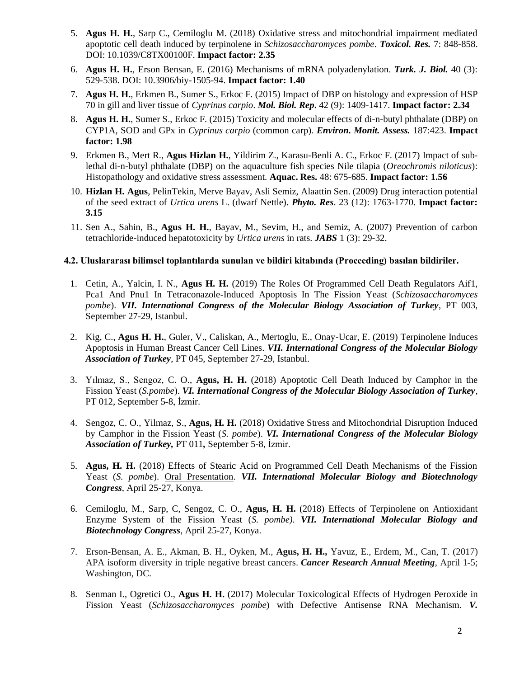- 5. **Agus H. H.**, Sarp C., Cemiloglu M. (2018) Oxidative stress and mitochondrial impairment mediated apoptotic cell death induced by terpinolene in *Schizosaccharomyces pombe*. *Toxicol. Res.* 7: 848-858. DOI: 10.1039/C8TX00100F. **Impact factor: 2.35**
- 6. **Agus H. H.**, Erson Bensan, E. (2016) Mechanisms of mRNA polyadenylation. *Turk. J. Biol.* 40 (3): 529-538. DOI: 10.3906/biy-1505-94. **Impact factor: 1.40**
- 7. **Agus H. H.**, Erkmen B., Sumer S., Erkoc F. (2015) Impact of DBP on histology and expression of HSP 70 in gill and liver tissue of *Cyprinus carpio*. *Mol. Biol. Rep***.** 42 (9): 1409-1417. **Impact factor: 2.34**
- 8. **Agus H. H.**, Sumer S., Erkoc F. (2015) Toxicity and molecular effects of di-n-butyl phthalate (DBP) on CYP1A, SOD and GPx in *Cyprinus carpio* (common carp). *Environ. Monit. Assess.* 187:423. **Impact factor: 1.98**
- 9. Erkmen B., Mert R., **Agus Hizlan H.**, Yildirim Z., Karasu-Benli A. C., Erkoc F. (2017) Impact of sublethal di-n-butyl phthalate (DBP) on the aquaculture fish species Nile tilapia (*Oreochromis niloticus*): Histopathology and oxidative stress assessment. **Aquac. Res.** 48: 675-685. **Impact factor: 1.56**
- 10. **Hizlan H. Agus**, PelinTekin, Merve Bayav, Asli Semiz, Alaattin Sen. (2009) Drug interaction potential of the seed extract of *Urtica urens* L. (dwarf Nettle). *Phyto. Res*. 23 (12): 1763-1770. **Impact factor: 3.15**
- 11. Sen A., Sahin, B., **Agus H. H.**, Bayav, M., Sevim, H., and Semiz, A. (2007) Prevention of carbon tetrachloride-induced hepatotoxicity by *Urtica urens* in rats. *JABS* 1 (3): 29-32.

#### **4.2. Uluslararası bilimsel toplantılarda sunulan ve bildiri kitabında (Proceeding) basılan bildiriler.**

- 1. Cetin, A., Yalcin, I. N., **Agus H. H.** (2019) The Roles Of Programmed Cell Death Regulators Aif1, Pca1 And Pnu1 In Tetraconazole-Induced Apoptosis In The Fission Yeast (*Schizosaccharomyces pombe*). *VII. International Congress of the Molecular Biology Association of Turkey*, PT 003, September 27-29, Istanbul.
- 2. Kig, C., **Agus H. H.**, Guler, V., Caliskan, A., Mertoglu, E., Onay-Ucar, E. (2019) Terpinolene Induces Apoptosis in Human Breast Cancer Cell Lines. *VII. International Congress of the Molecular Biology Association of Turkey*, PT 045, September 27-29, Istanbul.
- 3. Yılmaz, S., Sengoz, C. O., **Agus, H. H.** (2018) Apoptotic Cell Death Induced by Camphor in the Fission Yeast (*S.pombe*). *VI. International Congress of the Molecular Biology Association of Turkey*, PT 012, September 5-8, İzmir.
- 4. Sengoz, C. O., Yilmaz, S., **Agus, H. H.** (2018) Oxidative Stress and Mitochondrial Disruption Induced by Camphor in the Fission Yeast (*S. pombe*). *VI. International Congress of the Molecular Biology Association of Turkey,* PT 011*,* September 5-8, İzmir.
- 5. **Agus, H. H.** (2018) Effects of Stearic Acid on Programmed Cell Death Mechanisms of the Fission Yeast (*S. pombe*). Oral Presentation. *VII. International Molecular Biology and Biotechnology Congress*, April 25-27, Konya.
- 6. Cemiloglu, M., Sarp, C, Sengoz, C. O., **Agus, H. H.** (2018) Effects of Terpinolene on Antioxidant Enzyme System of the Fission Yeast (*S. pombe). VII. International Molecular Biology and Biotechnology Congress*, April 25-27, Konya.
- 7. Erson-Bensan, A. E., Akman, B. H., Oyken, M., **Agus, H. H.,** Yavuz, E., Erdem, M., Can, T. (2017) APA isoform diversity in triple negative breast cancers. *Cancer Research Annual Meeting*, April 1-5; Washington, DC.
- 8. Senman I., Ogretici O., **Agus H. H.** (2017) Molecular Toxicological Effects of Hydrogen Peroxide in Fission Yeast (*Schizosaccharomyces pombe*) with Defective Antisense RNA Mechanism. *V.*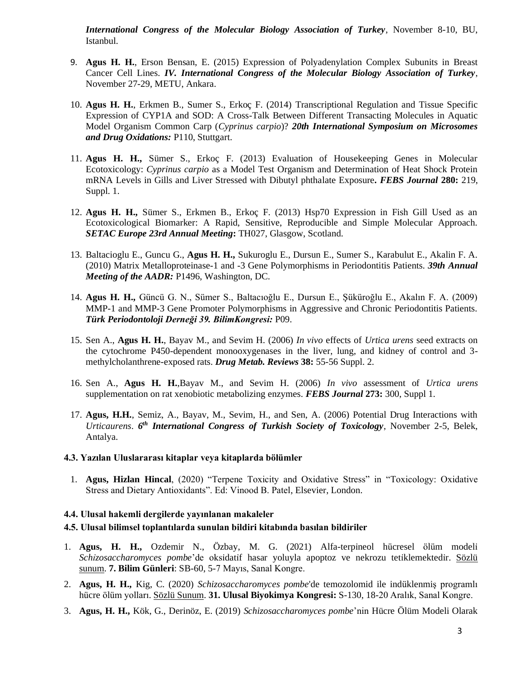*International Congress of the Molecular Biology Association of Turkey*, November 8-10, BU, Istanbul.

- 9. **Agus H. H.**, Erson Bensan, E. (2015) Expression of Polyadenylation Complex Subunits in Breast Cancer Cell Lines. *IV. International Congress of the Molecular Biology Association of Turkey*, November 27-29, METU, Ankara.
- 10. **Agus H. H.**, Erkmen B., Sumer S., Erkoç F. (2014) Transcriptional Regulation and Tissue Specific Expression of CYP1A and SOD: A Cross-Talk Between Different Transacting Molecules in Aquatic Model Organism Common Carp (*Cyprinus carpio*)? *20th International Symposium on Microsomes and Drug Oxidations:* P110, Stuttgart.
- 11. **Agus H. H.,** Sümer S., Erkoç F. (2013) Evaluation of Housekeeping Genes in Molecular Ecotoxicology: *Cyprinus carpio* as a Model Test Organism and Determination of Heat Shock Protein mRNA Levels in Gills and Liver Stressed with Dibutyl phthalate Exposure**.** *FEBS Journal* **280:** 219, Suppl. 1.
- 12. **Agus H. H.,** Sümer S., Erkmen B., Erkoç F. (2013) Hsp70 Expression in Fish Gill Used as an Ecotoxicological Biomarker: A Rapid, Sensitive, Reproducible and Simple Molecular Approach. *SETAC Europe 23rd Annual Meeting***:** TH027, Glasgow, Scotland.
- 13. Baltacioglu E., Guncu G., **Agus H. H.,** Sukuroglu E., Dursun E., Sumer S., Karabulut E., Akalin F. A. (2010) Matrix Metalloproteinase-1 and -3 Gene Polymorphisms in Periodontitis Patients. *39th Annual Meeting of the AADR:* P1496, Washington, DC.
- 14. **Agus H. H.,** Güncü G. N., Sümer S., Baltacıoğlu E., Dursun E., Şüküroğlu E., Akalın F. A. (2009) MMP-1 and MMP-3 Gene Promoter Polymorphisms in Aggressive and Chronic Periodontitis Patients. *Türk Periodontoloji Derneği 39. BilimKongresi:* P09.
- 15. Sen A., **Agus H. H.**, Bayav M., and Sevim H. (2006) *In vivo* effects of *Urtica urens* seed extracts on the cytochrome P450-dependent monooxygenases in the liver, lung, and kidney of control and 3 methylcholanthrene-exposed rats. *Drug Metab. Reviews* **38:** 55-56 Suppl. 2.
- 16. Sen A., **Agus H. H.**,Bayav M., and Sevim H. (2006) *In vivo* assessment of *Urtica urens* supplementation on rat xenobiotic metabolizing enzymes. *FEBS Journal* **273:** 300, Suppl 1.
- 17. **Agus, H.H.**, Semiz, A., Bayav, M., Sevim, H., and Sen, A. (2006) Potential Drug Interactions with *Urticaurens*. *6 th International Congress of Turkish Society of Toxicology*, November 2-5, Belek, Antalya.

#### **4.3. Yazılan Uluslararası kitaplar veya kitaplarda bölümler**

1. **Agus, Hizlan Hincal**, (2020) "Terpene Toxicity and Oxidative Stress" in "Toxicology: Oxidative Stress and Dietary Antioxidants". Ed: Vinood B. Patel, Elsevier, London.

#### **4.4. Ulusal hakemli dergilerde yayınlanan makaleler**

### **4.5. Ulusal bilimsel toplantılarda sunulan bildiri kitabında basılan bildiriler**

- 1. **Agus, H. H.,** Ozdemir N., Özbay, M. G. (2021) Alfa-terpı̇neol hücresel ölüm modelı̇ *Schı̇zosaccharomyces pombe*'de oksı̇datı̇f hasar yoluyla apoptoz ve nekrozu tetı̇klemektedı̇r. Sözlü sunum. **7. Bilim Günleri**: SB-60, 5-7 Mayıs, Sanal Kongre.
- 2. **Agus, H. H.,** Kig, C. (2020) *Schizosaccharomyces pombe*'de temozolomid ile indüklenmiş programlı hücre ölüm yolları. Sözlü Sunum. **31. Ulusal Biyokimya Kongresi:** S-130, 18-20 Aralık, Sanal Kongre.
- 3. **Agus, H. H.,** Kök, G., Derinöz, E. (2019) *Schizosaccharomyces pombe*'nin Hücre Ölüm Modeli Olarak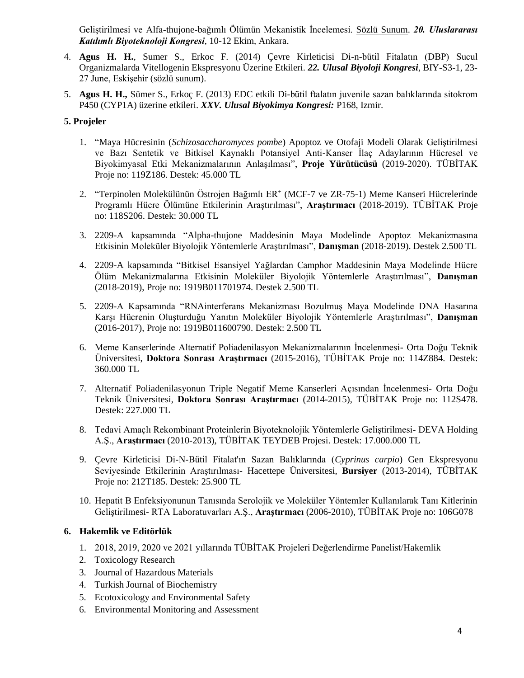Geliştirilmesi ve Alfa-thujone-bağımlı Ölümün Mekanistik İncelemesi. Sözlü Sunum. *20. Uluslararası Katılımlı Biyoteknoloji Kongresi*, 10-12 Ekim, Ankara.

- 4. **Agus H. H.**, Sumer S., Erkoc F. (2014) Çevre Kirleticisi Di-n-bütil Fitalatın (DBP) Sucul Organizmalarda Vitellogenin Ekspresyonu Üzerine Etkileri. *22. Ulusal Biyoloji Kongresi*, BIY-S3-1, 23- 27 June, Eskişehir (sözlü sunum).
- 5. **Agus H. H.,** Sümer S., Erkoç F. (2013) EDC etkili Di-bütil ftalatın juvenile sazan balıklarında sitokrom P450 (CYP1A) üzerine etkileri. *XXV. Ulusal Biyokimya Kongresi:* P168, Izmir.

### **5. Projeler**

- 1. "Maya Hücresinin (*Schizosaccharomyces pombe*) Apoptoz ve Otofaji Modeli Olarak Geliştirilmesi ve Bazı Sentetik ve Bitkisel Kaynaklı Potansiyel Anti-Kanser İlaç Adaylarının Hücresel ve Biyokimyasal Etki Mekanizmalarının Anlaşılması", **Proje Yürütücüsü** (2019-2020). TÜBİTAK Proje no: 119Z186. Destek: 45.000 TL
- 2. "Terpinolen Molekülünün Östrojen Bağımlı ER<sup>+</sup> (MCF-7 ve ZR-75-1) Meme Kanseri Hücrelerinde Programlı Hücre Ölümüne Etkilerinin Araştırılması", **Araştırmacı** (2018-2019). TÜBİTAK Proje no: 118S206. Destek: 30.000 TL
- 3. 2209-A kapsamında "Alpha-thujone Maddesinin Maya Modelinde Apoptoz Mekanizmasına Etkisinin Moleküler Biyolojik Yöntemlerle Araştırılması", **Danışman** (2018-2019). Destek 2.500 TL
- 4. 2209-A kapsamında "Bitkisel Esansiyel Yağlardan Camphor Maddesinin Maya Modelinde Hücre Ölüm Mekanizmalarına Etkisinin Moleküler Biyolojik Yöntemlerle Araştırılması", **Danışman** (2018-2019), Proje no: 1919B011701974. Destek 2.500 TL
- 5. 2209-A Kapsamında "RNAinterferans Mekanizması Bozulmuş Maya Modelinde DNA Hasarına Karşı Hücrenin Oluşturduğu Yanıtın Moleküler Biyolojik Yöntemlerle Araştırılması", **Danışman** (2016-2017), Proje no: 1919B011600790. Destek: 2.500 TL
- 6. Meme Kanserlerinde Alternatif Poliadenilasyon Mekanizmalarının İncelenmesi- Orta Doğu Teknik Üniversitesi, **Doktora Sonrası Araştırmacı** (2015-2016), TÜBİTAK Proje no: 114Z884. Destek: 360.000 TL
- 7. Alternatif Poliadenilasyonun Triple Negatif Meme Kanserleri Açısından İncelenmesi- Orta Doğu Teknik Üniversitesi, **Doktora Sonrası Araştırmacı** (2014-2015), TÜBİTAK Proje no: 112S478. Destek: 227.000 TL
- 8. Tedavi Amaçlı Rekombinant Proteinlerin Biyoteknolojik Yöntemlerle Geliştirilmesi- DEVA Holding A.Ş., **Araştırmacı** (2010-2013), TÜBİTAK TEYDEB Projesi. Destek: 17.000.000 TL
- 9. Çevre Kirleticisi Di-N-Bütil Fitalat'ın Sazan Balıklarında (*Cyprinus carpio*) Gen Ekspresyonu Seviyesinde Etkilerinin Araştırılması- Hacettepe Üniversitesi, **Bursiyer** (2013-2014), TÜBİTAK Proje no: 212T185. Destek: 25.900 TL
- 10. Hepatit B Enfeksiyonunun Tanısında Serolojik ve Moleküler Yöntemler Kullanılarak Tanı Kitlerinin Geliştirilmesi- RTA Laboratuvarları A.Ş., **Araştırmacı** (2006-2010), TÜBİTAK Proje no: 106G078

### **6. Hakemlik ve Editörlük**

- 1. 2018, 2019, 2020 ve 2021 yıllarında TÜBİTAK Projeleri Değerlendirme Panelist/Hakemlik
- 2. Toxicology Research
- 3. Journal of Hazardous Materials
- 4. Turkish Journal of Biochemistry
- 5. Ecotoxicology and Environmental Safety
- 6. Environmental Monitoring and Assessment